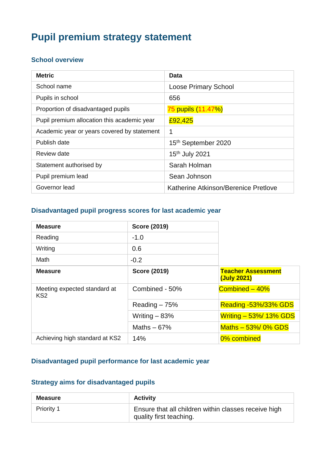# **Pupil premium strategy statement**

#### **School overview**

| <b>Metric</b>                               | Data                                 |
|---------------------------------------------|--------------------------------------|
| School name                                 | <b>Loose Primary School</b>          |
| Pupils in school                            | 656                                  |
| Proportion of disadvantaged pupils          | 75 pupils (11.47%)                   |
| Pupil premium allocation this academic year | £92,425                              |
| Academic year or years covered by statement | 1                                    |
| Publish date                                | 15th September 2020                  |
| Review date                                 | 15 <sup>th</sup> July 2021           |
| Statement authorised by                     | Sarah Holman                         |
| Pupil premium lead                          | Sean Johnson                         |
| Governor lead                               | Katherine Atkinson/Berenice Pretlove |

#### **Disadvantaged pupil progress scores for last academic year**

| <b>Measure</b>                                  | <b>Score (2019)</b> |                                          |
|-------------------------------------------------|---------------------|------------------------------------------|
| Reading                                         | $-1.0$              |                                          |
| Writing                                         | 0.6                 |                                          |
| Math                                            | $-0.2$              |                                          |
| <b>Measure</b>                                  | <b>Score (2019)</b> | <b>Teacher Assessment</b><br>(July 2021) |
| Meeting expected standard at<br>KS <sub>2</sub> | Combined - 50%      | Combined - 40%                           |
|                                                 | Reading $-75%$      | <b>Reading -53%/33% GDS</b>              |
|                                                 | Writing $-83%$      | <b>Writing - 53%/ 13% GDS</b>            |
|                                                 | Maths $-67%$        | Maths $-53\%$ 0% GDS                     |
| Achieving high standard at KS2                  | 14%                 | 0% combined                              |

#### **Disadvantaged pupil performance for last academic year**

### **Strategy aims for disadvantaged pupils**

| <b>Measure</b>    | <b>Activity</b>                                                                 |
|-------------------|---------------------------------------------------------------------------------|
| <b>Priority 1</b> | Ensure that all children within classes receive high<br>quality first teaching. |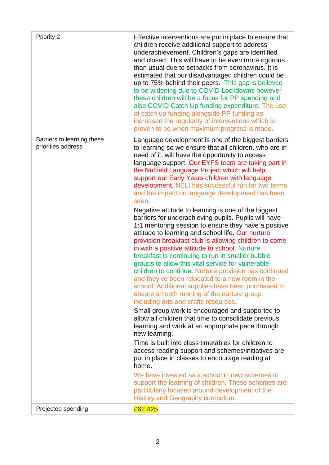| Priority 2                                       | Effective interventions are put in place to ensure that<br>children receive additional support to address<br>underachievement. Children's gaps are identified<br>and closed. This will have to be even more rigorous<br>than usual due to setbacks from coronavirus. It is<br>estimated that our disadvantaged children could be<br>up to 75% behind their peers. This gap is believed<br>to be widening due to COVID Lockdowns however<br>these children will be a focus for PP spending and<br>also COVID Catch Up funding expenditure. The use<br>of catch up funding alongside PP funding as<br>increased the regularity of interventions which is<br>proven to be when maximum progress is made.                                                                                                                                                                                                                                                                                                                                                                                                                                                                                                                                                                                                                                                                                                                                                                                                                                                                                                                                                                                                        |
|--------------------------------------------------|--------------------------------------------------------------------------------------------------------------------------------------------------------------------------------------------------------------------------------------------------------------------------------------------------------------------------------------------------------------------------------------------------------------------------------------------------------------------------------------------------------------------------------------------------------------------------------------------------------------------------------------------------------------------------------------------------------------------------------------------------------------------------------------------------------------------------------------------------------------------------------------------------------------------------------------------------------------------------------------------------------------------------------------------------------------------------------------------------------------------------------------------------------------------------------------------------------------------------------------------------------------------------------------------------------------------------------------------------------------------------------------------------------------------------------------------------------------------------------------------------------------------------------------------------------------------------------------------------------------------------------------------------------------------------------------------------------------|
| Barriers to learning these<br>priorities address | Language development is one of the biggest barriers<br>to learning so we ensure that all children, who are in<br>need of it, will have the opportunity to access<br>language support. Our EYFS team are taking part in<br>the Nuffield Language Project which will help<br>support our Early Years children with language<br>development. NELI has successful run for two terms<br>and the impact on language development has been<br>seen.<br>Negative attitude to learning is one of the biggest<br>barriers for underachieving pupils. Pupils will have<br>1:1 mentoring session to ensure they have a positive<br>attitude to learning and school life. Our nurture<br>provision breakfast club is allowing children to come<br>in with a positive attitude to school. Nurture<br>breakfast is continuing to run in smaller bubble<br>groups to allow this vital service for vulnerable<br>children to continue. Nurture provision has continued<br>and they've been relocated to a new room in the<br>school. Additional supplies have been purchased to<br>ensure smooth running of the nurture group<br>including arts and crafts resources.<br>Small group work is encouraged and supported to<br>allow all children that time to consolidate previous<br>learning and work at an appropriate pace through<br>new learning.<br>Time is built into class timetables for children to<br>access reading support and schemes/initiatives are<br>put in place in classes to encourage reading at<br>home.<br>We have invested as a school in new schemes to<br>support the learning of children. These schemes are<br>particularly focused around development of the<br>History and Geography curriculum. |
| Projected spending                               | £62,425                                                                                                                                                                                                                                                                                                                                                                                                                                                                                                                                                                                                                                                                                                                                                                                                                                                                                                                                                                                                                                                                                                                                                                                                                                                                                                                                                                                                                                                                                                                                                                                                                                                                                                      |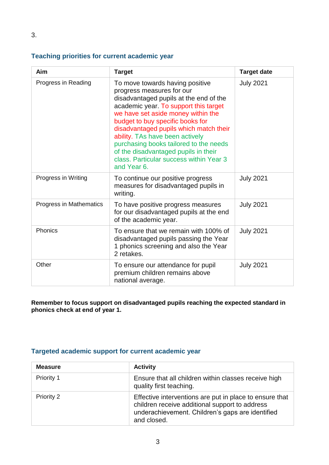### **Teaching priorities for current academic year**

| Aim                     | <b>Target</b>                                                                                                                                                                                                                                                                                                                                                                                                                                      | <b>Target date</b> |
|-------------------------|----------------------------------------------------------------------------------------------------------------------------------------------------------------------------------------------------------------------------------------------------------------------------------------------------------------------------------------------------------------------------------------------------------------------------------------------------|--------------------|
| Progress in Reading     | To move towards having positive<br>progress measures for our<br>disadvantaged pupils at the end of the<br>academic year. To support this target<br>we have set aside money within the<br>budget to buy specific books for<br>disadvantaged pupils which match their<br>ability. TAs have been actively<br>purchasing books tailored to the needs<br>of the disadvantaged pupils in their<br>class. Particular success within Year 3<br>and Year 6. | <b>July 2021</b>   |
| Progress in Writing     | To continue our positive progress<br>measures for disadvantaged pupils in<br>writing.                                                                                                                                                                                                                                                                                                                                                              | <b>July 2021</b>   |
| Progress in Mathematics | To have positive progress measures<br>for our disadvantaged pupils at the end<br>of the academic year.                                                                                                                                                                                                                                                                                                                                             | <b>July 2021</b>   |
| Phonics                 | To ensure that we remain with 100% of<br>disadvantaged pupils passing the Year<br>1 phonics screening and also the Year<br>2 retakes.                                                                                                                                                                                                                                                                                                              | <b>July 2021</b>   |
| Other                   | To ensure our attendance for pupil<br>premium children remains above<br>national average.                                                                                                                                                                                                                                                                                                                                                          | <b>July 2021</b>   |

**Remember to focus support on disadvantaged pupils reaching the expected standard in phonics check at end of year 1.**

#### **Targeted academic support for current academic year**

| <b>Measure</b> | <b>Activity</b>                                                                                                                                                              |
|----------------|------------------------------------------------------------------------------------------------------------------------------------------------------------------------------|
| Priority 1     | Ensure that all children within classes receive high<br>quality first teaching.                                                                                              |
| Priority 2     | Effective interventions are put in place to ensure that<br>children receive additional support to address<br>underachievement. Children's gaps are identified<br>and closed. |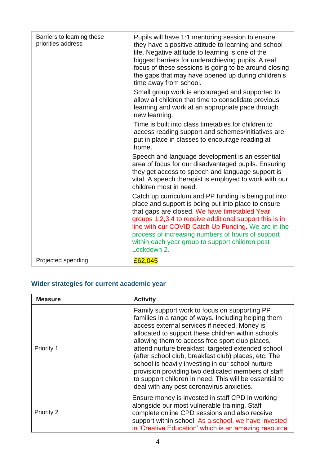| Barriers to learning these | Pupils will have 1:1 mentoring session to ensure                                                                                                                                                                                                                                                                                                                                                      |
|----------------------------|-------------------------------------------------------------------------------------------------------------------------------------------------------------------------------------------------------------------------------------------------------------------------------------------------------------------------------------------------------------------------------------------------------|
| priorities address         | they have a positive attitude to learning and school<br>life. Negative attitude to learning is one of the<br>biggest barriers for underachieving pupils. A real<br>focus of these sessions is going to be around closing<br>the gaps that may have opened up during children's<br>time away from school.                                                                                              |
|                            | Small group work is encouraged and supported to<br>allow all children that time to consolidate previous<br>learning and work at an appropriate pace through<br>new learning.                                                                                                                                                                                                                          |
|                            | Time is built into class timetables for children to<br>access reading support and schemes/initiatives are<br>put in place in classes to encourage reading at<br>home.                                                                                                                                                                                                                                 |
|                            | Speech and language development is an essential<br>area of focus for our disadvantaged pupils. Ensuring<br>they get access to speech and language support is<br>vital. A speech therapist is employed to work with our<br>children most in need.                                                                                                                                                      |
|                            | Catch up curriculum and PP funding is being put into<br>place and support is being put into place to ensure<br>that gaps are closed. We have timetabled Year<br>groups 1,2,3,4 to receive additional support this is in<br>line with our COVID Catch Up Funding. We are in the<br>process of increasing numbers of hours of support<br>within each year group to support children post<br>Lockdown 2. |
| Projected spending         | £62,045                                                                                                                                                                                                                                                                                                                                                                                               |

## **Wider strategies for current academic year**

| <b>Measure</b> | <b>Activity</b>                                                                                                                                                                                                                                                                                                                                                                                                                                                                                                                                                                               |  |
|----------------|-----------------------------------------------------------------------------------------------------------------------------------------------------------------------------------------------------------------------------------------------------------------------------------------------------------------------------------------------------------------------------------------------------------------------------------------------------------------------------------------------------------------------------------------------------------------------------------------------|--|
| Priority 1     | Family support work to focus on supporting PP<br>families in a range of ways. Including helping them<br>access external services if needed. Money is<br>allocated to support these children within schools<br>allowing them to access free sport club places,<br>attend nurture breakfast, targeted extended school<br>(after school club, breakfast club) places, etc. The<br>school is heavily investing in our school nurture<br>provision providing two dedicated members of staff<br>to support children in need. This will be essential to<br>deal with any post coronavirus anxieties. |  |
| Priority 2     | Ensure money is invested in staff CPD in working<br>alongside our most vulnerable training. Staff<br>complete online CPD sessions and also receive<br>support within school. As a school, we have invested<br>in 'Creative Education' which is an amazing resource                                                                                                                                                                                                                                                                                                                            |  |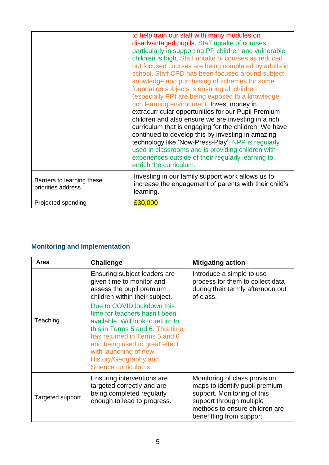|                                                  | to help train our staff with many modules on<br>disadvantaged pupils. Staff uptake of courses<br>particularly in supporting PP children and vulnerable<br>children is high. Staff uptake of courses as reduced<br>but focused courses are being completed by adults in<br>school. Staff CPD has been focused around subject<br>knowledge and purchasing of schemes for some<br>foundation subjects is ensuring all children<br>(especially PP) are being exposed to a knowledge<br>rich learning environment. Invest money in<br>extracurricular opportunities for our Pupil Premium<br>children and also ensure we are investing in a rich<br>curriculum that is engaging for the children. We have<br>continued to develop this by investing in amazing<br>technology like 'Now-Press-Play'. NPP is regularly<br>used in classrooms and is providing children with<br>experiences outside of their regularly learning to<br>enrich the curriculum. |
|--------------------------------------------------|------------------------------------------------------------------------------------------------------------------------------------------------------------------------------------------------------------------------------------------------------------------------------------------------------------------------------------------------------------------------------------------------------------------------------------------------------------------------------------------------------------------------------------------------------------------------------------------------------------------------------------------------------------------------------------------------------------------------------------------------------------------------------------------------------------------------------------------------------------------------------------------------------------------------------------------------------|
| Barriers to learning these<br>priorities address | Investing in our family support work allows us to<br>increase the engagement of parents with their child's<br>learning.                                                                                                                                                                                                                                                                                                                                                                                                                                                                                                                                                                                                                                                                                                                                                                                                                              |
| Projected spending                               | £30,000                                                                                                                                                                                                                                                                                                                                                                                                                                                                                                                                                                                                                                                                                                                                                                                                                                                                                                                                              |

## **Monitoring and Implementation**

| <b>Area</b>      | <b>Challenge</b>                                                                                                                                                                                                                                                                  | <b>Mitigating action</b>                                                                                                                                                                  |
|------------------|-----------------------------------------------------------------------------------------------------------------------------------------------------------------------------------------------------------------------------------------------------------------------------------|-------------------------------------------------------------------------------------------------------------------------------------------------------------------------------------------|
|                  | Ensuring subject leaders are<br>given time to monitor and<br>assess the pupil premium<br>children within their subject.                                                                                                                                                           | Introduce a simple to use<br>process for them to collect data<br>during their termly afternoon out<br>of class.                                                                           |
| Teaching         | Due to COVID lockdown this<br>time for teachers hasn't been<br>available. Will look to return to<br>this in Terms 5 and 6. This time<br>has returned in Terms 5 and 6<br>and being used to great effect<br>with launching of new<br>History/Geography and<br>Science curriculums. |                                                                                                                                                                                           |
| Targeted support | Ensuring interventions are<br>targeted correctly and are<br>being completed regularly<br>enough to lead to progress.                                                                                                                                                              | Monitoring of class provision<br>maps to identify pupil premium<br>support. Monitoring of this<br>support through multiple<br>methods to ensure children are<br>benefitting from support. |